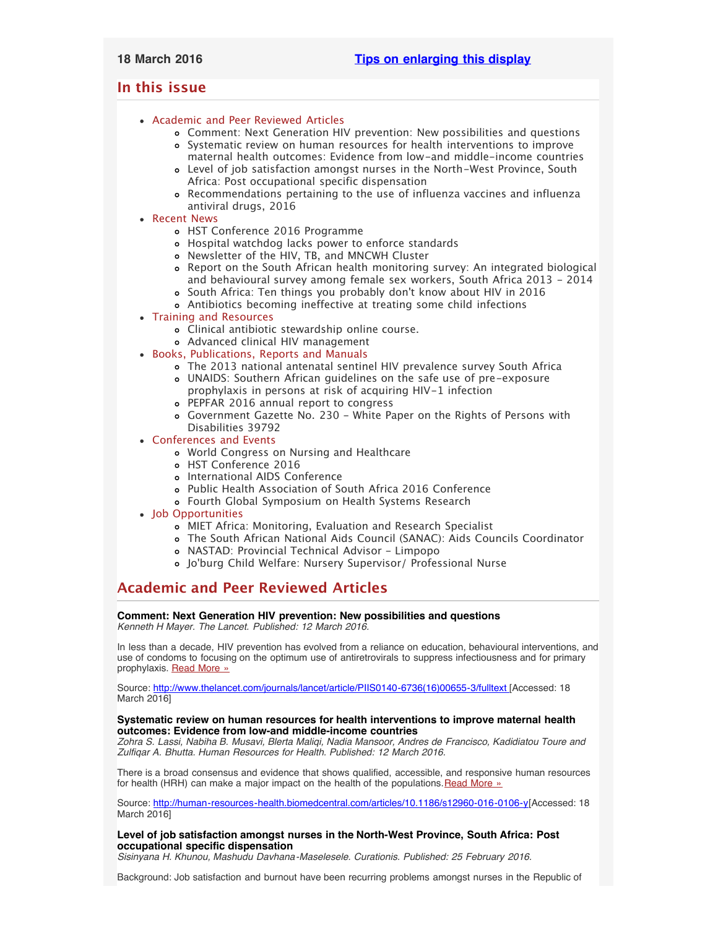# <span id="page-0-3"></span><span id="page-0-2"></span>**In this issue**

# [Academic and Peer Reviewed Articles](#page-0-0)

- [Comment: Next Generation HIV prevention: New possibilities and questions](#page-0-1)
- [Systematic review on human resources for health interventions to improve](#page-0-1) [maternal health outcomes: Evidence from low-and middle-income countries](#page-0-1)
- [Level of job satisfaction amongst nurses in the North-West Province, South](#page-1-0) [Africa: Post occupational specific dispensation](#page-1-0)
- [Recommendations pertaining to the use of influenza vaccines and influenza](#page-1-0) [antiviral drugs, 2016](#page-1-0)
- [Recent News](#page-1-1)
	- [HST Conference 2016 Programme](#page-1-2)
	- [Hospital watchdog lacks power to enforce standards](#page-1-2)
	- [Newsletter of the HIV, TB, and MNCWH Cluster](#page-1-3)
	- [Report on the South African health monitoring survey: An integrated biological](#page-1-4) [and behavioural survey among female sex workers, South Africa 2013 - 2014](#page-1-4) [South Africa: Ten things you probably don](#page-1-5)'t know about HIV in 2016
	- [Antibiotics becoming ineffective at treating some child infections](#page-0-2)
- [Training and Resources](#page-3-0)
	- [Clinical antibiotic stewardship online course.](#page-2-0)
	- [Advanced clinical HIV management](#page-2-0)
- [Books, Publications, Reports and Manuals](#page-2-1)
	- [The 2013 national antenatal sentinel HIV prevalence survey South Africa](#page-2-2) [UNAIDS: Southern African guidelines on the safe use of pre-exposure](#page-2-2)
	- [prophylaxis in persons at risk of acquiring HIV-1 infection](#page-2-2) [PEPFAR 2016 annual report to congress](#page-2-2)
	- [Government Gazette No. 230 White Paper on the Rights of Persons with](#page-2-2) [Disabilities 39792](#page-2-2)
- [Conferences and Events](#page-3-1)
	- [World Congress on Nursing and Healthcare](#page-3-2)
	- [HST Conference 2016](#page-3-2)
	- [International AIDS Conference](#page-3-2)
	- [Public Health Association of South Africa 2016 Conference](#page-3-2)
	- [Fourth Global Symposium on Health Systems Research](#page-0-2)
- [Job Opportunities](#page-0-2)
	- [MIET Africa: Monitoring, Evaluation and Research Specialist](#page-3-3)
	- [The South African National Aids Council \(SANAC\): Aids Councils Coordinator](#page-3-3)
	- [NASTAD: Provincial Technical Advisor Limpopo](#page-3-4)
	- Jo['burg Child Welfare: Nursery Supervisor/ Professional Nurse](#page-3-4)

# <span id="page-0-0"></span>**Academic and Peer Reviewed Articles**

#### **Comment: Next Generation HIV prevention: New possibilities and questions** *Kenneth H Mayer. The Lancet. Published: 12 March 2016.*

In less than a decade, HIV prevention has evolved from a reliance on education, behavioural interventions, and use of condoms to focusing on the optimum use of antiretrovirals to suppress infectiousness and for primary prophylaxis. [Read More »](http://www.thelancet.com/journals/lancet/article/PIIS0140-6736(16)00655-3/fulltext)

Source: [http://www.thelancet.com/journals/lancet/article/PIIS0140-6736\(16\)00655-3/fulltext \[](http://www.thelancet.com/journals/lancet/article/PIIS0140-6736(16)00655-3/fulltext)Accessed: 18 March 2016]

## <span id="page-0-1"></span>**Systematic review on human resources for health interventions to improve maternal health outcomes: Evidence from low-and middle-income countries**

*Zohra S. Lassi, Nabiha B. Musavi, Blerta Maliqi, Nadia Mansoor, Andres de Francisco, Kadidiatou Toure and Zulfiqar A. Bhutta. Human Resources for Health. Published: 12 March 2016.*

There is a broad consensus and evidence that shows qualified, accessible, and responsive human resources for health (HRH) can make a major impact on the health of the populations. [Read More »](http://human-resources-health.biomedcentral.com/articles/10.1186/s12960-016-0106-y)

Source: <http://human-resources-health.biomedcentral.com/articles/10.1186/s12960-016-0106-y>[Accessed: 18 March 2016]

**Level of job satisfaction amongst nurses in the North-West Province, South Africa: Post occupational specific dispensation**

*Sisinyana H. Khunou, Mashudu Davhana-Maselesele. Curationis. Published: 25 February 2016.*

Background: Job satisfaction and burnout have been recurring problems amongst nurses in the Republic of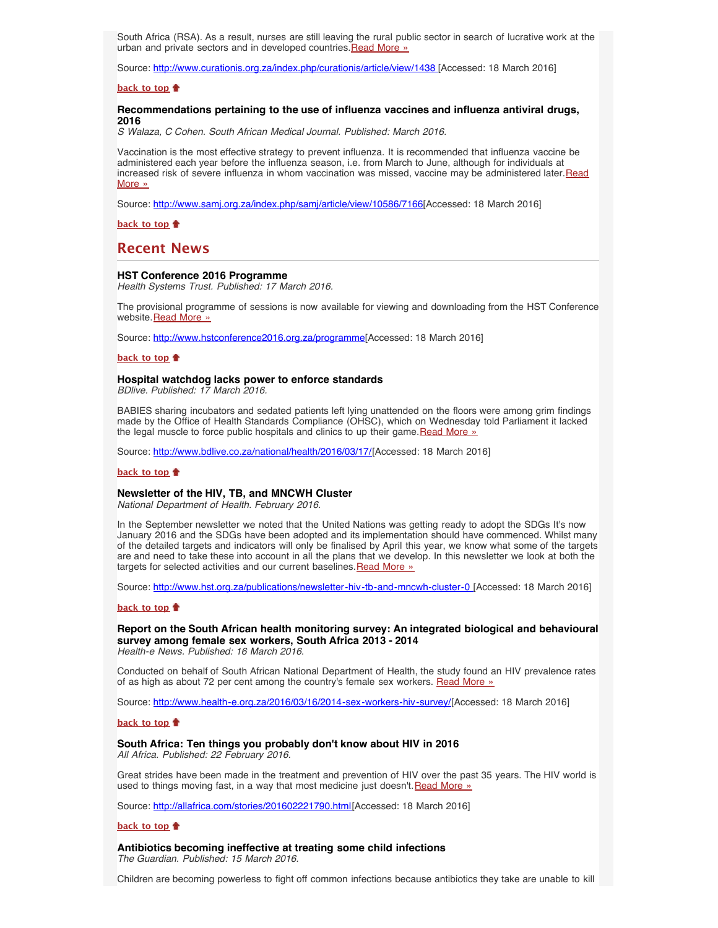South Africa (RSA). As a result, nurses are still leaving the rural public sector in search of lucrative work at the urban and private sectors and in developed countries. [Read More »](http://www.curationis.org.za/index.php/curationis/article/view/1438)

Source: [http://www.curationis.org.za/index.php/curationis/article/view/1438 \[](http://www.curationis.org.za/index.php/curationis/article/view/1438)Accessed: 18 March 2016]

#### **[back to top](#page-0-3)**

#### <span id="page-1-0"></span>**Recommendations pertaining to the use of influenza vaccines and influenza antiviral drugs, 2016**

*S Walaza, C Cohen. South African Medical Journal. Published: March 2016.*

Vaccination is the most effective strategy to prevent influenza. It is recommended that influenza vaccine be administered each year before the influenza season, i.e. from March to June, although for individuals at increased risk of severe influenza in whom vaccination was missed, vaccine may be administered later. [Read](http://www.samj.org.za/index.php/samj/article/view/10586/7166) [More »](http://www.samj.org.za/index.php/samj/article/view/10586/7166)

Source: <http://www.samj.org.za/index.php/samj/article/view/10586/7166>[Accessed: 18 March 2016]

**[back to top](#page-0-3)**

## <span id="page-1-1"></span>**Recent News**

#### **HST Conference 2016 Programme**

*Health Systems Trust. Published: 17 March 2016.*

The provisional programme of sessions is now available for viewing and downloading from the HST Conference website. [Read More »](http://www.hstconference2016.org.za/programme)

Source: [http://www.hstconference2016.org.za/programme\[](http://www.hstconference2016.org.za/programme)Accessed: 18 March 2016]

#### **[back to top](#page-0-3)**

#### <span id="page-1-2"></span>**Hospital watchdog lacks power to enforce standards**

*BDlive. Published: 17 March 2016.*

BABIES sharing incubators and sedated patients left lying unattended on the floors were among grim findings made by the Office of Health Standards Compliance (OHSC), which on Wednesday told Parliament it lacked the legal muscle to force public hospitals and clinics to up their game. [Read More »](http://www.hst.org.za/news/hospital-watchdog-lacks-power-enforce-standards)

Source: [http://www.bdlive.co.za/national/health/2016/03/17/\[](http://www.bdlive.co.za/national/health/2016/03/17/hospital-watchdog-lacks-power-to-enforce-standards)Accessed: 18 March 2016]

#### **[back to top](#page-0-3)**

#### <span id="page-1-3"></span>**Newsletter of the HIV, TB, and MNCWH Cluster**

*National Department of Health. February 2016.*

In the September newsletter we noted that the United Nations was getting ready to adopt the SDGs It's now January 2016 and the SDGs have been adopted and its implementation should have commenced. Whilst many of the detailed targets and indicators will only be finalised by April this year, we know what some of the targets are and need to take these into account in all the plans that we develop. In this newsletter we look at both the targets for selected activities and our current baselines. [Read More »](http://www.hst.org.za/publications/newsletter-hiv-tb-and-mncwh-cluster-0)

Source: [http://www.hst.org.za/publications/newsletter-hiv-tb-and-mncwh-cluster-0 \[](http://www.hst.org.za/publications/newsletter-hiv-tb-and-mncwh-cluster-0)Accessed: 18 March 2016]

#### **[back to top](#page-0-3)**

<span id="page-1-4"></span>**Report on the South African health monitoring survey: An integrated biological and behavioural survey among female sex workers, South Africa 2013 - 2014**

*Health-e News. Published: 16 March 2016.*

Conducted on behalf of South African National Department of Health, the study found an HIV prevalence rates of as high as about 72 per cent among the country's female sex workers. [Read More »](http://www.hst.org.za/news/report-south-african-health-monitoring-survey-integrated-biological-and-behavioural-survey-amo-0)

Source: [http://www.health-e.org.za/2016/03/16/2014-sex-workers-hiv-survey/](http://www.health-e.org.za/2016/03/16/2014-sex-workers-hiv-survey/south-african-health-monitoring-survey-an-integrated-biological-and-behavioral-survey-among-female-sex-workers-south-africa-2013-2014/)[Accessed: 18 March 2016]

#### **[back to top](#page-0-3)**

### <span id="page-1-5"></span>**South Africa: Ten things you probably don't know about HIV in 2016**

*All Africa. Published: 22 February 2016.*

Great strides have been made in the treatment and prevention of HIV over the past 35 years. The HIV world is used to things moving fast, in a way that most medicine just doesn't [Read More »](http://www.hst.org.za/news/south-africa-ten-things-you-probably-dont-know-about-hiv-2016)

Source: [http://allafrica.com/stories/201602221790.html\[](http://allafrica.com/stories/201602221790.html)Accessed: 18 March 2016]

#### **[back to top](#page-0-3)**

**Antibiotics becoming ineffective at treating some child infections** *The Guardian. Published: 15 March 2016.*

Children are becoming powerless to fight off common infections because antibiotics they take are unable to kill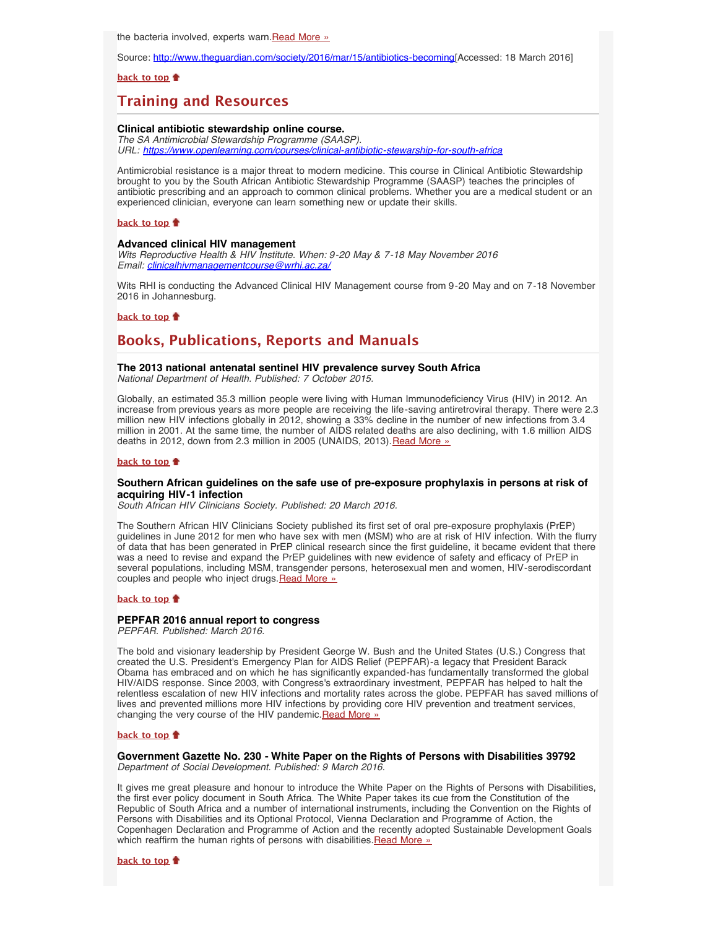the bacteria involved, experts warn. [Read More »](http://www.hst.org.za/news/antibiotics-becoming-ineffective-treating-some-child-infections)

Source: [http://www.theguardian.com/society/2016/mar/15/antibiotics-becoming](http://www.theguardian.com/society/2016/mar/15/antibiotics-becoming-ineffective-at-treating-some-child-infections)[Accessed: 18 March 2016]

## **[back to top](#page-0-3)**

# **Training and Resources**

## **Clinical antibiotic stewardship online course.**

*The SA Antimicrobial Stewardship Programme (SAASP). URL: <https://www.openlearning.com/courses/clinical-antibiotic-stewarship-for-south-africa>*

Antimicrobial resistance is a major threat to modern medicine. This course in Clinical Antibiotic Stewardship brought to you by the South African Antibiotic Stewardship Programme (SAASP) teaches the principles of antibiotic prescribing and an approach to common clinical problems. Whether you are a medical student or an experienced clinician, everyone can learn something new or update their skills.

#### **[back to top](#page-0-3)**

### <span id="page-2-0"></span>**Advanced clinical HIV management**

*Wits Reproductive Health & HIV Institute. When: 9-20 May & 7-18 May November 2016 Email: [clinicalhivmanagementcourse@wrhi.ac.za/](file:///Users/DTP/Desktop/clinicalhivmanagementcourse@wrhi.ac.za)*

Wits RHI is conducting the Advanced Clinical HIV Management course from 9-20 May and on 7-18 November 2016 in Johannesburg.

## **[back to top](#page-0-3)**

# <span id="page-2-1"></span>**Books, Publications, Reports and Manuals**

# **The 2013 national antenatal sentinel HIV prevalence survey South Africa**

*National Department of Health. Published: 7 October 2015.*

Globally, an estimated 35.3 million people were living with Human Immunodeficiency Virus (HIV) in 2012. An increase from previous years as more people are receiving the life-saving antiretroviral therapy. There were 2.3 million new HIV infections globally in 2012, showing a 33% decline in the number of new infections from 3.4 million in 2001. At the same time, the number of AIDS related deaths are also declining, with 1.6 million AIDS deaths in 2012, down from 2.3 million in 2005 (UNAIDS, 2013). [Read More »](http://www.hst.org.za/publications/2013-national-antenatal-sentinel-hiv-prevalence-survey-south-africa)

## **[back to top](#page-0-3)**

## **Southern African guidelines on the safe use of pre-exposure prophylaxis in persons at risk of acquiring HIV-1 infection**

*South African HIV Clinicians Society. Published: 20 March 2016.*

The Southern African HIV Clinicians Society published its first set of oral pre-exposure prophylaxis (PrEP) guidelines in June 2012 for men who have sex with men (MSM) who are at risk of HIV infection. With the flurry of data that has been generated in PrEP clinical research since the first guideline, it became evident that there was a need to revise and expand the PrEP guidelines with new evidence of safety and efficacy of PrEP in several populations, including MSM, transgender persons, heterosexual men and women, HIV-serodiscordant couples and people who inject drugs. [Read More »](http://www.hst.org.za/publications/southern-african-guidelines-safe-use-pre-exposure-prophylaxis-persons-risk-acquiring-hi)

#### **[back to top](#page-0-3)**

## **PEPFAR 2016 annual report to congress**

*PEPFAR. Published: March 2016.*

The bold and visionary leadership by President George W. Bush and the United States (U.S.) Congress that created the U.S. President's Emergency Plan for AIDS Relief (PEPFAR)-a legacy that President Barack Obama has embraced and on which he has significantly expanded-has fundamentally transformed the global HIV/AIDS response. Since 2003, with Congress's extraordinary investment, PEPFAR has helped to halt the relentless escalation of new HIV infections and mortality rates across the globe. PEPFAR has saved millions of lives and prevented millions more HIV infections by providing core HIV prevention and treatment services, changing the very course of the HIV pandemic. [Read More »](http://www.hst.org.za/publications/pepfar-2016-annual-report-congress)

#### **[back to top](#page-0-3)**

#### <span id="page-2-2"></span>**Government Gazette No. 230 - White Paper on the Rights of Persons with Disabilities 39792** *Department of Social Development. Published: 9 March 2016.*

It gives me great pleasure and honour to introduce the White Paper on the Rights of Persons with Disabilities, the first ever policy document in South Africa. The White Paper takes its cue from the Constitution of the Republic of South Africa and a number of international instruments, including the Convention on the Rights of Persons with Disabilities and its Optional Protocol, Vienna Declaration and Programme of Action, the Copenhagen Declaration and Programme of Action and the recently adopted Sustainable Development Goals which reaffirm the human rights of persons with disabilities. [Read More »](http://www.hst.org.za/publications/government-gazette-no-230-white-paper-rights-persons-disabilities-39792)

#### **[back to top](#page-0-3)**